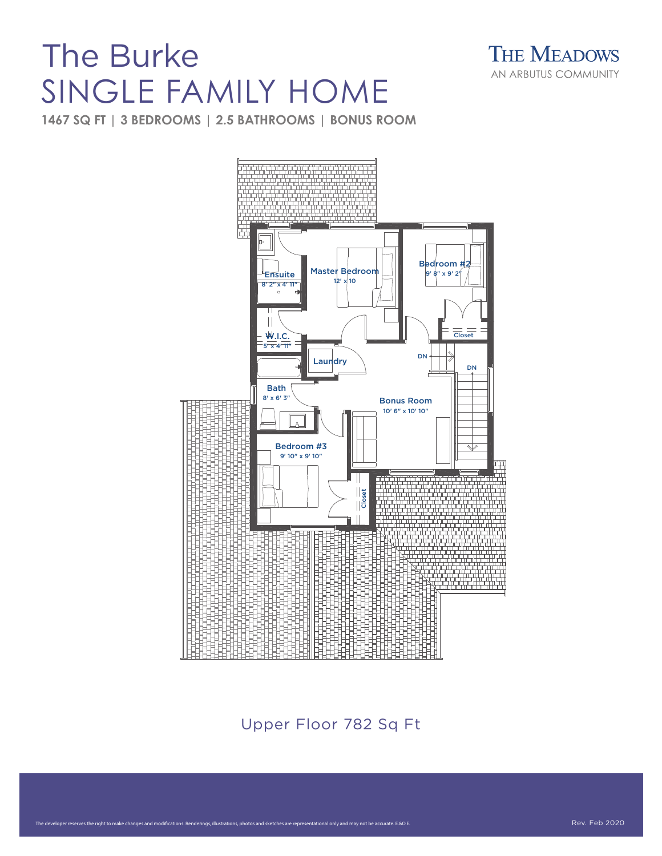## The Burke SINGLE FAMILY HOME

**1467 SQ FT | 3 BEDROOMS | 2.5 BATHROOMS | BONUS ROOM**

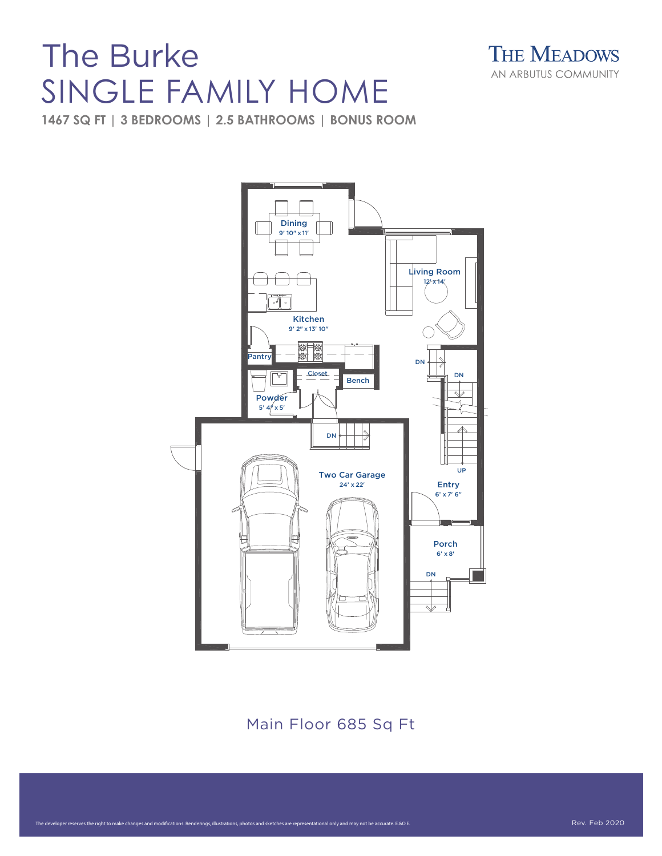## The Burke SINGLE FAMILY HOME



**1467 SQ FT | 3 BEDROOMS | 2.5 BATHROOMS | BONUS ROOM**



Main Floor 685 Sq Ft